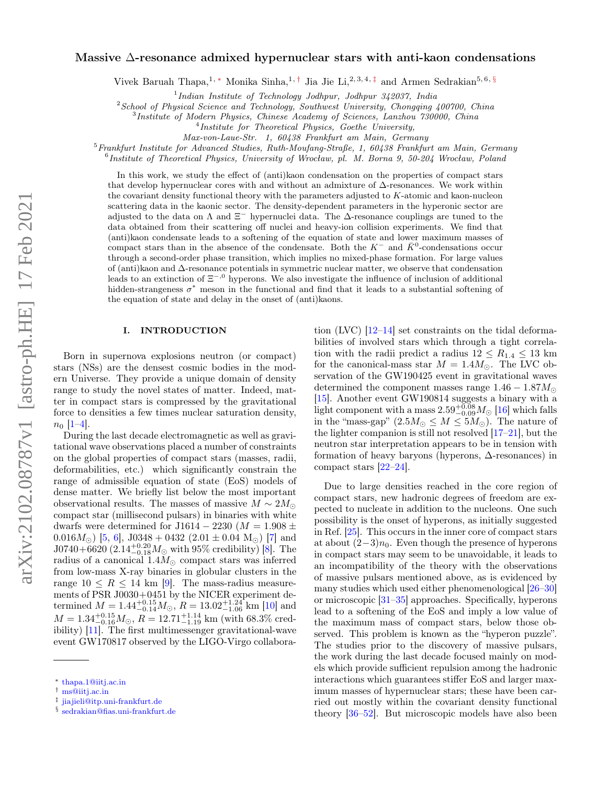# Massive ∆-resonance admixed hypernuclear stars with anti-kaon condensations

Vivek Baruah Thapa,<sup>1, ∗</sup> Monika Sinha,<sup>1,†</sup> Jia Jie Li,<sup>2, 3, 4, ‡</sup> and Armen Sedrakian<sup>5, 6, §</sup>

<sup>1</sup>Indian Institute of Technology Jodhpur, Jodhpur 342037, India

 $2$ School of Physical Science and Technology, Southwest University, Chongqing 400700, China

3 Institute of Modern Physics, Chinese Academy of Sciences, Lanzhou 730000, China

4 Institute for Theoretical Physics, Goethe University,

Max-von-Laue-Str. 1, 60438 Frankfurt am Main, Germany

 $5$ Frankfurt Institute for Advanced Studies, Ruth-Moufang-Straße, 1, 60438 Frankfurt am Main, Germany

6 Institute of Theoretical Physics, University of Wrocław, pl. M. Borna 9, 50-204 Wrocław, Poland

In this work, we study the effect of (anti)kaon condensation on the properties of compact stars that develop hypernuclear cores with and without an admixture of ∆-resonances. We work within the covariant density functional theory with the parameters adjusted to K-atomic and kaon-nucleon scattering data in the kaonic sector. The density-dependent parameters in the hyperonic sector are adjusted to the data on  $\Lambda$  and  $\Xi^-$  hypernuclei data. The  $\Delta$ -resonance couplings are tuned to the data obtained from their scattering off nuclei and heavy-ion collision experiments. We find that (anti)kaon condensate leads to a softening of the equation of state and lower maximum masses of compact stars than in the absence of the condensate. Both the  $K^-$  and  $\bar{K}^0$ -condensations occur through a second-order phase transition, which implies no mixed-phase formation. For large values of (anti)kaon and ∆-resonance potentials in symmetric nuclear matter, we observe that condensation leads to an extinction of  $\Xi^{-,0}$  hyperons. We also investigate the influence of inclusion of additional hidden-strangeness  $\sigma^*$  meson in the functional and find that it leads to a substantial softening of the equation of state and delay in the onset of (anti)kaons.

# I. INTRODUCTION

Born in supernova explosions neutron (or compact) stars (NSs) are the densest cosmic bodies in the modern Universe. They provide a unique domain of density range to study the novel states of matter. Indeed, matter in compact stars is compressed by the gravitational force to densities a few times nuclear saturation density,  $n_0$  [1–4].

During the last decade electromagnetic as well as gravitational wave observations placed a number of constraints on the global properties of compact stars (masses, radii, deformabilities, etc.) which significantly constrain the range of admissible equation of state (EoS) models of dense matter. We briefly list below the most important observational results. The masses of massive  $M \sim 2M_{\odot}$ compact star (millisecond pulsars) in binaries with white dwarfs were determined for J1614 – 2230 ( $M = 1.908 \pm$ 0.016 $M_{\odot}$ ) [5, 6], J0348 + 0432 (2.01  $\pm$  0.04 M<sub> $\odot$ </sub>) [7] and  $J0740+6620 (2.14^{+0.20}_{-0.18} M_{\odot}$  with 95% credibility) [8]. The radius of a canonical  $1.4M_{\odot}$  compact stars was inferred from low-mass X-ray binaries in globular clusters in the range  $10 \le R \le 14$  km [9]. The mass-radius measurements of PSR J0030+0451 by the NICER experiment determined  $M = 1.44_{-0.14}^{+0.15} M_{\odot}$ ,  $R = 13.02_{-1.06}^{+1.24}$  km [10] and  $M = 1.34_{-0.16}^{+0.15} M_{\odot}$ ,  $R = 12.71_{-1.19}^{+1.14}$  km (with 68.3% credibility) [11]. The first multimessenger gravitational-wave event GW170817 observed by the LIGO-Virgo collabora-

tion (LVC)  $[12-14]$  set constraints on the tidal deformabilities of involved stars which through a tight correlation with the radii predict a radius  $12 \le R_{1.4} \le 13$  km for the canonical-mass star  $M = 1.4 M_{\odot}$ . The LVC observation of the GW190425 event in gravitational waves determined the component masses range  $1.46 - 1.87M_{\odot}$ [15]. Another event GW190814 suggests a binary with a light component with a mass  $2.59^{+0.08}_{-0.09} M_{\odot}$  [16] which falls in the "mass-gap"  $(2.5M_{\odot} \leq M \leq 5M_{\odot})$ . The nature of the lighter companion is still not resolved [17–21], but the neutron star interpretation appears to be in tension with formation of heavy baryons (hyperons, ∆-resonances) in compact stars [22–24].

Due to large densities reached in the core region of compact stars, new hadronic degrees of freedom are expected to nucleate in addition to the nucleons. One such possibility is the onset of hyperons, as initially suggested in Ref. [25]. This occurs in the inner core of compact stars at about  $(2-3)n_0$ . Even though the presence of hyperons in compact stars may seem to be unavoidable, it leads to an incompatibility of the theory with the observations of massive pulsars mentioned above, as is evidenced by many studies which used either phenomenological [26–30] or microscopic [31–35] approaches. Specifically, hyperons lead to a softening of the EoS and imply a low value of the maximum mass of compact stars, below those observed. This problem is known as the "hyperon puzzle". The studies prior to the discovery of massive pulsars, the work during the last decade focused mainly on models which provide sufficient repulsion among the hadronic interactions which guarantees stiffer EoS and larger maximum masses of hypernuclear stars; these have been carried out mostly within the covariant density functional theory [36–52]. But microscopic models have also been

<sup>∗</sup> thapa.1@iitj.ac.in

<sup>†</sup> ms@iitj.ac.in

<sup>‡</sup> jiajieli@itp.uni-frankfurt.de

<sup>§</sup> sedrakian@fias.uni-frankfurt.de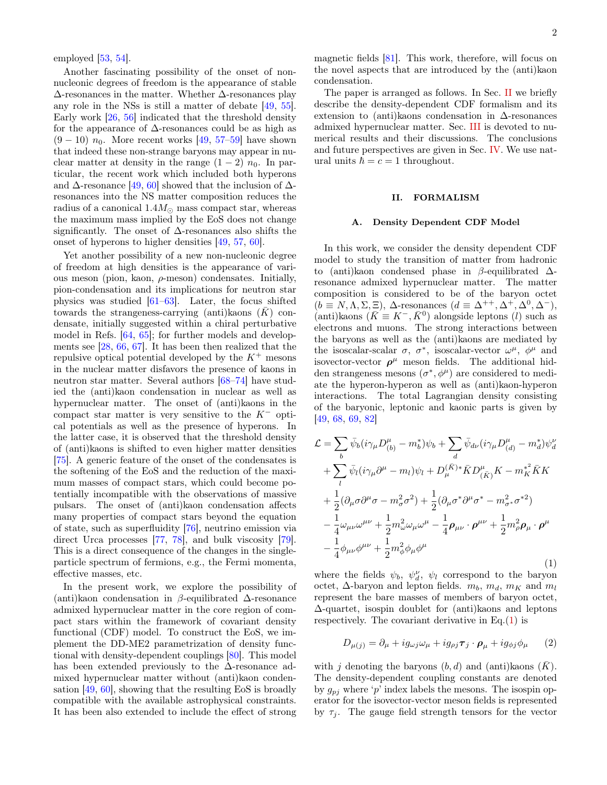employed [53, 54].

Another fascinating possibility of the onset of nonnucleonic degrees of freedom is the appearance of stable ∆-resonances in the matter. Whether ∆-resonances play any role in the NSs is still a matter of debate [49, 55]. Early work [26, 56] indicated that the threshold density for the appearance of  $\Delta$ -resonances could be as high as  $(9-10)$   $n_0$ . More recent works [49, 57–59] have shown that indeed these non-strange baryons may appear in nuclear matter at density in the range  $(1 - 2)$   $n_0$ . In particular, the recent work which included both hyperons and  $\Delta$ -resonance [49, 60] showed that the inclusion of  $\Delta$ resonances into the NS matter composition reduces the radius of a canonical  $1.4M_{\odot}$  mass compact star, whereas the maximum mass implied by the EoS does not change significantly. The onset of  $\Delta$ -resonances also shifts the onset of hyperons to higher densities [49, 57, 60].

Yet another possibility of a new non-nucleonic degree of freedom at high densities is the appearance of various meson (pion, kaon,  $\rho$ -meson) condensates. Initially, pion-condensation and its implications for neutron star physics was studied [61–63]. Later, the focus shifted towards the strangeness-carrying (anti)kaons  $(K)$  condensate, initially suggested within a chiral perturbative model in Refs. [64, 65]; for further models and developments see [28, 66, 67]. It has been then realized that the repulsive optical potential developed by the  $K^+$  mesons in the nuclear matter disfavors the presence of kaons in neutron star matter. Several authors [68–74] have studied the (anti)kaon condensation in nuclear as well as hypernuclear matter. The onset of (anti)kaons in the compact star matter is very sensitive to the  $K^-$  optical potentials as well as the presence of hyperons. In the latter case, it is observed that the threshold density of (anti)kaons is shifted to even higher matter densities [75]. A generic feature of the onset of the condensates is the softening of the EoS and the reduction of the maximum masses of compact stars, which could become potentially incompatible with the observations of massive pulsars. The onset of (anti)kaon condensation affects many properties of compact stars beyond the equation of state, such as superfluidity [76], neutrino emission via direct Urca processes [77, 78], and bulk viscosity [79]. This is a direct consequence of the changes in the singleparticle spectrum of fermions, e.g., the Fermi momenta, effective masses, etc.

In the present work, we explore the possibility of (anti)kaon condensation in  $\beta$ -equilibrated  $\Delta$ -resonance admixed hypernuclear matter in the core region of compact stars within the framework of covariant density functional (CDF) model. To construct the EoS, we implement the DD-ME2 parametrization of density functional with density-dependent couplings [80]. This model has been extended previously to the  $\Delta$ -resonance admixed hypernuclear matter without (anti)kaon condensation [49, 60], showing that the resulting EoS is broadly compatible with the available astrophysical constraints. It has been also extended to include the effect of strong magnetic fields [81]. This work, therefore, will focus on the novel aspects that are introduced by the (anti)kaon condensation.

The paper is arranged as follows. In Sec. II we briefly describe the density-dependent CDF formalism and its extension to (anti)kaons condensation in ∆-resonances admixed hypernuclear matter. Sec. III is devoted to numerical results and their discussions. The conclusions and future perspectives are given in Sec. IV. We use natural units  $\hbar = c = 1$  throughout.

# II. FORMALISM

#### A. Density Dependent CDF Model

In this work, we consider the density dependent CDF model to study the transition of matter from hadronic to (anti)kaon condensed phase in β-equilibrated ∆ resonance admixed hypernuclear matter. The matter composition is considered to be of the baryon octet  $(b \equiv N, \Lambda, \Sigma, \Xi), \Delta$ -resonances  $(d \equiv \Delta^{++}, \Delta^+, \Delta^0, \Delta^-),$ (anti)kaons  $(\bar{K} \equiv K^-, \bar{K}^0)$  alongside leptons (*l*) such as electrons and muons. The strong interactions between the baryons as well as the (anti)kaons are mediated by the isoscalar-scalar  $\sigma$ ,  $\sigma^*$ , isoscalar-vector  $\omega^{\mu}$ ,  $\phi^{\mu}$  and isovector-vector  $\rho^{\mu}$  meson fields. The additional hidden strangeness mesons  $(\sigma^*, \phi^{\mu})$  are considered to mediate the hyperon-hyperon as well as (anti)kaon-hyperon interactions. The total Lagrangian density consisting of the baryonic, leptonic and kaonic parts is given by [49, 68, 69, 82]

$$
\mathcal{L} = \sum_{b} \bar{\psi}_{b} (i\gamma_{\mu} D_{(b)}^{\mu} - m_{b}^{*}) \psi_{b} + \sum_{d} \bar{\psi}_{d\nu} (i\gamma_{\mu} D_{(d)}^{\mu} - m_{d}^{*}) \psi_{d}^{\nu}
$$
  
+ 
$$
\sum_{l} \bar{\psi}_{l} (i\gamma_{\mu} \partial^{\mu} - m_{l}) \psi_{l} + D_{\mu}^{(\bar{K})*} \bar{K} D_{(\bar{K})}^{\mu} K - m_{K}^{*2} \bar{K} K
$$
  
+ 
$$
\frac{1}{2} (\partial_{\mu} \sigma \partial^{\mu} \sigma - m_{\sigma}^{2} \sigma^{2}) + \frac{1}{2} (\partial_{\mu} \sigma^{*} \partial^{\mu} \sigma^{*} - m_{\sigma}^{2} \sigma^{*2})
$$
  
- 
$$
\frac{1}{4} \omega_{\mu\nu} \omega^{\mu\nu} + \frac{1}{2} m_{\omega}^{2} \omega_{\mu} \omega^{\mu} - \frac{1}{4} \rho_{\mu\nu} \cdot \rho^{\mu\nu} + \frac{1}{2} m_{\rho}^{2} \rho_{\mu} \cdot \rho^{\mu}
$$
  
- 
$$
\frac{1}{4} \phi_{\mu\nu} \phi^{\mu\nu} + \frac{1}{2} m_{\phi}^{2} \phi_{\mu} \phi^{\mu}
$$
(1)

where the fields  $\psi_b$ ,  $\psi_d^{\nu}$ ,  $\psi_l$  correspond to the baryon octet,  $\Delta$ -baryon and lepton fields.  $m_b$ ,  $m_d$ ,  $m_K$  and  $m_l$ represent the bare masses of members of baryon octet, ∆-quartet, isospin doublet for (anti)kaons and leptons respectively. The covariant derivative in  $Eq.(1)$  is

$$
D_{\mu(j)} = \partial_{\mu} + ig_{\omega j} \omega_{\mu} + ig_{\rho j} \tau_j \cdot \boldsymbol{\rho}_{\mu} + ig_{\phi j} \phi_{\mu} \qquad (2)
$$

with j denoting the baryons  $(b, d)$  and (anti)kaons  $(K)$ . The density-dependent coupling constants are denoted by  $g_{pj}$  where 'p' index labels the mesons. The isospin operator for the isovector-vector meson fields is represented by  $\tau_i$ . The gauge field strength tensors for the vector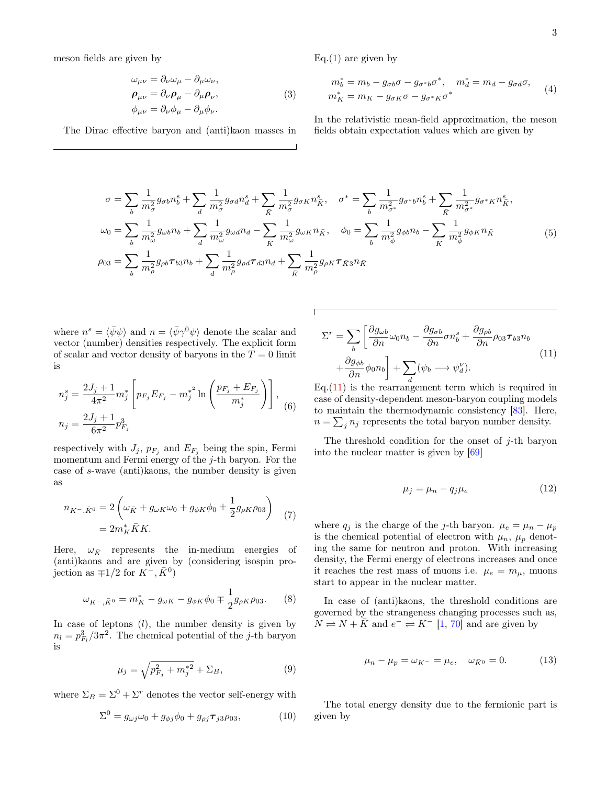meson fields are given by

$$
\omega_{\mu\nu} = \partial_{\nu}\omega_{\mu} - \partial_{\mu}\omega_{\nu}, \n\rho_{\mu\nu} = \partial_{\nu}\rho_{\mu} - \partial_{\mu}\rho_{\nu}, \n\phi_{\mu\nu} = \partial_{\nu}\phi_{\mu} - \partial_{\mu}\phi_{\nu}.
$$
\n(3)

The Dirac effective baryon and (anti)kaon masses in

Eq. $(1)$  are given by

$$
m_b^* = m_b - g_{\sigma b} \sigma - g_{\sigma^* b} \sigma^*, \quad m_d^* = m_d - g_{\sigma d} \sigma,
$$
  

$$
m_K^* = m_K - g_{\sigma K} \sigma - g_{\sigma^* K} \sigma^*
$$
 (4)

In the relativistic mean-field approximation, the meson fields obtain expectation values which are given by

$$
\sigma = \sum_{b} \frac{1}{m_{\sigma}^{2}} g_{\sigma b} n_{b}^{s} + \sum_{d} \frac{1}{m_{\sigma}^{2}} g_{\sigma d} n_{d}^{s} + \sum_{\bar{K}} \frac{1}{m_{\sigma}^{2}} g_{\sigma K} n_{\bar{K}}^{s}, \quad \sigma^{*} = \sum_{b} \frac{1}{m_{\sigma^{*}}^{2}} g_{\sigma^{*} b} n_{b}^{s} + \sum_{\bar{K}} \frac{1}{m_{\sigma^{*}}^{2}} g_{\sigma^{*} K} n_{\bar{K}}^{s},
$$
  

$$
\omega_{0} = \sum_{b} \frac{1}{m_{\omega}^{2}} g_{\omega b} n_{b} + \sum_{d} \frac{1}{m_{\omega}^{2}} g_{\omega d} n_{d} - \sum_{\bar{K}} \frac{1}{m_{\omega}^{2}} g_{\omega K} n_{\bar{K}}, \quad \phi_{0} = \sum_{b} \frac{1}{m_{\phi}^{2}} g_{\phi b} n_{b} - \sum_{\bar{K}} \frac{1}{m_{\phi}^{2}} g_{\phi K} n_{\bar{K}}
$$
  

$$
\rho_{03} = \sum_{b} \frac{1}{m_{\rho}^{2}} g_{\rho b} \tau_{b3} n_{b} + \sum_{d} \frac{1}{m_{\rho}^{2}} g_{\rho d} \tau_{d3} n_{d} + \sum_{\bar{K}} \frac{1}{m_{\rho}^{2}} g_{\rho K} \tau_{\bar{K}3} n_{\bar{K}}
$$
(5)

where  $n^s = \langle \bar{\psi}\psi \rangle$  and  $n = \langle \bar{\psi}\gamma^0\psi \rangle$  denote the scalar and vector (number) densities respectively. The explicit form of scalar and vector density of baryons in the  $T = 0$  limit is

$$
n_j^s = \frac{2J_j + 1}{4\pi^2} m_j^* \left[ p_{F_j} E_{F_j} - m_j^{*^2} \ln \left( \frac{p_{F_j} + E_{F_j}}{m_j^*} \right) \right],
$$
  

$$
n_j = \frac{2J_j + 1}{6\pi^2} p_{F_j}^3
$$
 (6)

respectively with  $J_j$ ,  $p_{F_j}$  and  $E_{F_j}$  being the spin, Fermi momentum and Fermi energy of the j-th baryon. For the case of s-wave (anti)kaons, the number density is given as

$$
n_{K^-,\bar{K}^0} = 2\left(\omega_{\bar{K}} + g_{\omega K}\omega_0 + g_{\phi K}\phi_0 \pm \frac{1}{2}g_{\rho K}\rho_{03}\right) \tag{7}
$$

$$
= 2m_K^* \bar{K}K.
$$

Here,  $\omega_{\bar{K}}$  represents the in-medium energies of (anti)kaons and are given by (considering isospin projection as  $\mp 1/2$  for  $K^-$ ,  $\bar{K}^0$ )

$$
\omega_{K^{-},\bar{K}^{0}} = m_{K}^{*} - g_{\omega K} - g_{\phi K} \phi_{0} \mp \frac{1}{2} g_{\rho K} \rho_{03}.
$$
 (8)

In case of leptons  $(l)$ , the number density is given by  $n_l = p_{F_l}^3/3\pi^2$ . The chemical potential of the *j*-th baryon is

$$
\mu_j = \sqrt{p_{F_j}^2 + m_j^{*2}} + \Sigma_B,\tag{9}
$$

where  $\Sigma_B = \Sigma^0 + \Sigma^r$  denotes the vector self-energy with

$$
\Sigma^0 = g_{\omega j}\omega_0 + g_{\phi j}\phi_0 + g_{\rho j}\boldsymbol{\tau}_{j3}\rho_{03},\tag{10}
$$

$$
\Sigma^{r} = \sum_{b} \left[ \frac{\partial g_{\omega b}}{\partial n} \omega_{0} n_{b} - \frac{\partial g_{\sigma b}}{\partial n} \sigma n_{b}^{s} + \frac{\partial g_{\rho b}}{\partial n} \rho_{03} \tau_{b3} n_{b} + \frac{\partial g_{\phi b}}{\partial n} \phi_{0} n_{b} \right] + \sum_{d} (\psi_{b} \longrightarrow \psi_{d}^{\nu}).
$$
\n(11)

Eq.(11) is the rearrangement term which is required in case of density-dependent meson-baryon coupling models to maintain the thermodynamic consistency [83]. Here,  $n = \sum_j n_j$  represents the total baryon number density.

The threshold condition for the onset of  $j$ -th baryon into the nuclear matter is given by [69]

$$
\mu_j = \mu_n - q_j \mu_e \tag{12}
$$

where  $q_j$  is the charge of the j-th baryon.  $\mu_e = \mu_n - \mu_p$ is the chemical potential of electron with  $\mu_n$ ,  $\mu_p$  denoting the same for neutron and proton. With increasing density, the Fermi energy of electrons increases and once it reaches the rest mass of muons i.e.  $\mu_e = m_\mu$ , muons start to appear in the nuclear matter.

In case of (anti)kaons, the threshold conditions are governed by the strangeness changing processes such as,  $N \rightleftharpoons N + \overline{K}$  and  $e^- \rightleftharpoons K^-$  [1, 70] and are given by

$$
\mu_n - \mu_p = \omega_{K^-} = \mu_e, \quad \omega_{\bar{K}^0} = 0.
$$
\n(13)

The total energy density due to the fermionic part is given by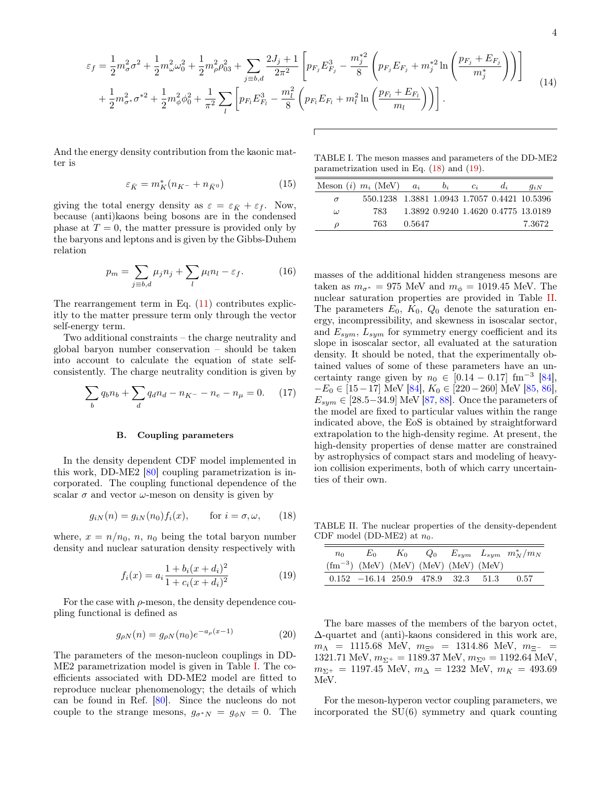$$
\overline{4}
$$

$$
\varepsilon_{f} = \frac{1}{2} m_{\sigma}^{2} \sigma^{2} + \frac{1}{2} m_{\omega}^{2} \omega_{0}^{2} + \frac{1}{2} m_{\rho}^{2} \rho_{03}^{2} + \sum_{j=b,d} \frac{2J_{j} + 1}{2\pi^{2}} \left[ p_{F_{j}} E_{F_{j}}^{3} - \frac{m_{j}^{*2}}{8} \left( p_{F_{j}} E_{F_{j}} + m_{j}^{*2} \ln \left( \frac{p_{F_{j}} + E_{F_{j}}}{m_{j}^{*}} \right) \right) \right]
$$
  
+ 
$$
\frac{1}{2} m_{\sigma}^{2} \sigma^{*2} + \frac{1}{2} m_{\phi}^{2} \phi_{0}^{2} + \frac{1}{\pi^{2}} \sum_{l} \left[ p_{F_{l}} E_{F_{l}}^{3} - \frac{m_{l}^{2}}{8} \left( p_{F_{l}} E_{F_{l}} + m_{l}^{2} \ln \left( \frac{p_{F_{l}} + E_{F_{l}}}{m_{l}} \right) \right) \right].
$$
 (14)

And the energy density contribution from the kaonic matter is

$$
\varepsilon_{\bar{K}} = m_K^*(n_{K^-} + n_{\bar{K}^0})
$$
\n(15)

giving the total energy density as  $\varepsilon = \varepsilon_{\bar{K}} + \varepsilon_f$ . Now, because (anti)kaons being bosons are in the condensed phase at  $T = 0$ , the matter pressure is provided only by the baryons and leptons and is given by the Gibbs-Duhem relation

$$
p_m = \sum_{j \equiv b,d} \mu_j n_j + \sum_l \mu_l n_l - \varepsilon_f. \tag{16}
$$

The rearrangement term in Eq.  $(11)$  contributes explicitly to the matter pressure term only through the vector self-energy term.

Two additional constraints – the charge neutrality and global baryon number conservation – should be taken into account to calculate the equation of state selfconsistently. The charge neutrality condition is given by

$$
\sum_{b} q_b n_b + \sum_{d} q_d n_d - n_{K^-} - n_e - n_\mu = 0. \tag{17}
$$

#### B. Coupling parameters

In the density dependent CDF model implemented in this work, DD-ME2 [80] coupling parametrization is incorporated. The coupling functional dependence of the scalar  $\sigma$  and vector  $\omega$ -meson on density is given by

$$
g_{iN}(n) = g_{iN}(n_0) f_i(x), \quad \text{for } i = \sigma, \omega,
$$
 (18)

where,  $x = n/n_0$ , n, n<sub>0</sub> being the total baryon number density and nuclear saturation density respectively with

$$
f_i(x) = a_i \frac{1 + b_i(x + d_i)^2}{1 + c_i(x + d_i)^2}
$$
 (19)

For the case with  $\rho$ -meson, the density dependence coupling functional is defined as

$$
g_{\rho N}(n) = g_{\rho N}(n_0) e^{-a_\rho(x-1)}
$$
\n(20)

The parameters of the meson-nucleon couplings in DD-ME2 parametrization model is given in Table I. The coefficients associated with DD-ME2 model are fitted to reproduce nuclear phenomenology; the details of which can be found in Ref. [80]. Since the nucleons do not couple to the strange mesons,  $g_{\sigma^*N} = g_{\phi N} = 0$ . The

TABLE I. The meson masses and parameters of the DD-ME2 parametrization used in Eq. (18) and (19).

|          | Meson ( <i>i</i> ) $m_i$ (MeV)               | $a_i$  | $b_i$ | $c_i$ | $d_i$ | $q_{iN}$                            |
|----------|----------------------------------------------|--------|-------|-------|-------|-------------------------------------|
| $\sigma$ | 550.1238 1.3881 1.0943 1.7057 0.4421 10.5396 |        |       |       |       |                                     |
| $\omega$ | 783.                                         |        |       |       |       | 1.3892 0.9240 1.4620 0.4775 13.0189 |
| D        | 763.                                         | 0.5647 |       |       |       | 7.3672                              |

masses of the additional hidden strangeness mesons are taken as  $m_{\sigma^*} = 975$  MeV and  $m_{\phi} = 1019.45$  MeV. The nuclear saturation properties are provided in Table II. The parameters  $E_0$ ,  $K_0$ ,  $Q_0$  denote the saturation energy, incompressibility, and skewness in isoscalar sector, and  $E_{sym}$ ,  $L_{sym}$  for symmetry energy coefficient and its slope in isoscalar sector, all evaluated at the saturation density. It should be noted, that the experimentally obtained values of some of these parameters have an uncertainty range given by  $n_0 \in [0.14 - 0.17] \text{ fm}^{-3}$  [84],  $-E_0 \in [15-17] \text{ MeV } [84], K_0 \in [220-260] \text{ MeV } [85, 86],$  $E_{sym} \in [28.5-34.9]$  MeV [87, 88]. Once the parameters of the model are fixed to particular values within the range indicated above, the EoS is obtained by straightforward extrapolation to the high-density regime. At present, the high-density properties of dense matter are constrained by astrophysics of compact stars and modeling of heavyion collision experiments, both of which carry uncertainties of their own.

TABLE II. The nuclear properties of the density-dependent CDF model (DD-ME2) at  $n_0$ .

| $n_{0}$ | $E_0$                                            |  |  | $K_0$ $Q_0$ $E_{sym}$ $L_{sym}$ $m_N^*/m_N$ |
|---------|--------------------------------------------------|--|--|---------------------------------------------|
|         | $(\text{fm}^{-3})$ (MeV) (MeV) (MeV) (MeV) (MeV) |  |  |                                             |
|         | $0.152 -16.14$ 250.9 478.9 32.3 51.3             |  |  | 0.57                                        |

The bare masses of the members of the baryon octet, ∆-quartet and (anti)-kaons considered in this work are,  $m_{\Lambda}$  = 1115.68 MeV,  $m_{\Xi^0}$  = 1314.86 MeV,  $m_{\Xi^-}$  = 1321.71 MeV,  $m_{\Sigma^+} = 1189.37$  MeV,  $m_{\Sigma^0} = 1192.64$  MeV,  $m_{\Sigma^+}$  = 1197.45 MeV,  $m_\Delta$  = 1232 MeV,  $m_K$  = 493.69 MeV.

For the meson-hyperon vector coupling parameters, we incorporated the SU(6) symmetry and quark counting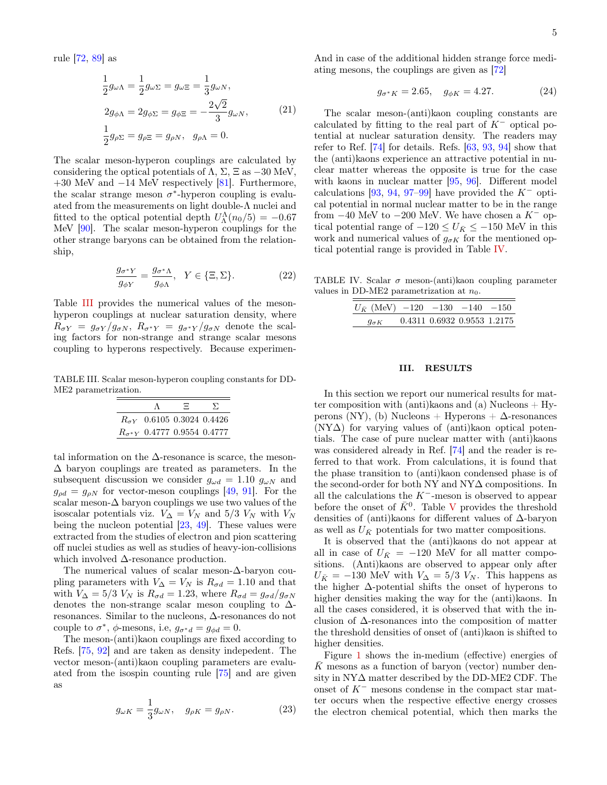rule [72, 89] as

$$
\frac{1}{2}g_{\omega\Lambda} = \frac{1}{2}g_{\omega\Sigma} = g_{\omega\Xi} = \frac{1}{3}g_{\omega N},
$$
  
\n
$$
2g_{\phi\Lambda} = 2g_{\phi\Sigma} = g_{\phi\Xi} = -\frac{2\sqrt{2}}{3}g_{\omega N},
$$
  
\n
$$
\frac{1}{2}g_{\rho\Sigma} = g_{\rho\Xi} = g_{\rho N}, \quad g_{\rho\Lambda} = 0.
$$
\n(21)

The scalar meson-hyperon couplings are calculated by considering the optical potentials of  $\Lambda$ ,  $\Sigma$ ,  $\Xi$  as  $-30$  MeV,  $+30$  MeV and  $-14$  MeV respectively [81]. Furthermore, the scalar strange meson  $\sigma^*$ -hyperon coupling is evaluated from the measurements on light double-Λ nuclei and fitted to the optical potential depth  $U^{\Lambda}_{\Lambda}(n_0/5) = -0.67$ MeV [90]. The scalar meson-hyperon couplings for the other strange baryons can be obtained from the relationship,

$$
\frac{g_{\sigma^*Y}}{g_{\phi Y}} = \frac{g_{\sigma^*\Lambda}}{g_{\phi\Lambda}}, \quad Y \in \{\Xi, \Sigma\}. \tag{22}
$$

Table III provides the numerical values of the mesonhyperon couplings at nuclear saturation density, where  $R_{\sigma Y} = g_{\sigma Y}/g_{\sigma N}, R_{\sigma^* Y} = g_{\sigma^* Y}/g_{\sigma N}$  denote the scaling factors for non-strange and strange scalar mesons coupling to hyperons respectively. Because experimen-

TABLE III. Scalar meson-hyperon coupling constants for DD-ME2 parametrization.

|                                      | Ξ. | $\sum$ |
|--------------------------------------|----|--------|
| $R_{\sigma V}$ 0.6105 0.3024 0.4426  |    |        |
| $R_{\sigma^*Y}$ 0.4777 0.9554 0.4777 |    |        |

tal information on the  $\Delta$ -resonance is scarce, the meson- $\Delta$  baryon couplings are treated as parameters. In the subsequent discussion we consider  $g_{\omega d} = 1.10 g_{\omega N}$  and  $g_{od} = g_{\rho N}$  for vector-meson couplings [49, 91]. For the scalar meson- $\Delta$  baryon couplings we use two values of the isoscalar potentials viz.  $V_{\Delta} = V_N$  and 5/3  $V_N$  with  $V_N$ being the nucleon potential [23, 49]. These values were extracted from the studies of electron and pion scattering off nuclei studies as well as studies of heavy-ion-collisions which involved ∆-resonance production.

The numerical values of scalar meson-∆-baryon coupling parameters with  $V_{\Delta} = V_N$  is  $R_{\sigma d} = 1.10$  and that with  $V_{\Delta} = 5/3$   $V_N$  is  $R_{\sigma d} = 1.23$ , where  $R_{\sigma d} = g_{\sigma d}/g_{\sigma N}$ denotes the non-strange scalar meson coupling to ∆ resonances. Similar to the nucleons, ∆-resonances do not couple to  $\sigma^*$ ,  $\phi$ -mesons, i.e,  $g_{\sigma^*d} = g_{\phi d} = 0$ .

The meson-(anti)kaon couplings are fixed according to Refs. [75, 92] and are taken as density indepedent. The vector meson-(anti)kaon coupling parameters are evaluated from the isospin counting rule [75] and are given as

$$
g_{\omega K} = \frac{1}{3} g_{\omega N}, \quad g_{\rho K} = g_{\rho N}.
$$
 (23)

5

And in case of the additional hidden strange force mediating mesons, the couplings are given as [72]

$$
g_{\sigma^* K} = 2.65, \quad g_{\phi K} = 4.27. \tag{24}
$$

The scalar meson-(anti)kaon coupling constants are calculated by fitting to the real part of  $K^-$  optical potential at nuclear saturation density. The readers may refer to Ref. [74] for details. Refs. [63, 93, 94] show that the (anti)kaons experience an attractive potential in nuclear matter whereas the opposite is true for the case with kaons in nuclear matter [95, 96]. Different model calculations [93, 94, 97–99] have provided the  $K^-$  optical potential in normal nuclear matter to be in the range from  $-40$  MeV to  $-200$  MeV. We have chosen a K<sup>-</sup> optical potential range of  $-120 \le U_{\bar{K}} \le -150$  MeV in this work and numerical values of  $g_{\sigma K}$  for the mentioned optical potential range is provided in Table IV.

TABLE IV. Scalar  $\sigma$  meson-(anti)kaon coupling parameter values in DD-ME2 parametrization at  $n_0$ .

| $U_{\bar{K}}$ (MeV) $-120$ $-130$ $-140$ $-150$ |                             |  |
|-------------------------------------------------|-----------------------------|--|
| $q_{\sigma K}$                                  | 0.4311 0.6932 0.9553 1.2175 |  |

#### III. RESULTS

In this section we report our numerical results for matter composition with (anti)kaons and (a) Nucleons  $+$  Hyperons (NY), (b) Nucleons + Hyperons +  $\Delta$ -resonances  $(NY\Delta)$  for varying values of (anti)kaon optical potentials. The case of pure nuclear matter with (anti)kaons was considered already in Ref. [74] and the reader is referred to that work. From calculations, it is found that the phase transition to (anti)kaon condensed phase is of the second-order for both NY and NY $\Delta$  compositions. In all the calculations the K<sup>−</sup>-meson is observed to appear before the onset of  $\bar{K}^0$ . Table V provides the threshold densities of (anti)kaons for different values of ∆-baryon as well as  $U_{\bar{K}}$  potentials for two matter compositions.

It is observed that the (anti)kaons do not appear at all in case of  $U_{\bar{K}}$  = −120 MeV for all matter compositions. (Anti)kaons are observed to appear only after  $U_{\bar{K}} = -130$  MeV with  $V_{\Delta} = 5/3$   $V_N$ . This happens as the higher ∆-potential shifts the onset of hyperons to higher densities making the way for the (anti)kaons. In all the cases considered, it is observed that with the inclusion of  $\Delta$ -resonances into the composition of matter the threshold densities of onset of (anti)kaon is shifted to higher densities.

Figure 1 shows the in-medium (effective) energies of K mesons as a function of baryon (vector) number density in NY∆ matter described by the DD-ME2 CDF. The onset of K<sup>−</sup> mesons condense in the compact star matter occurs when the respective effective energy crosses the electron chemical potential, which then marks the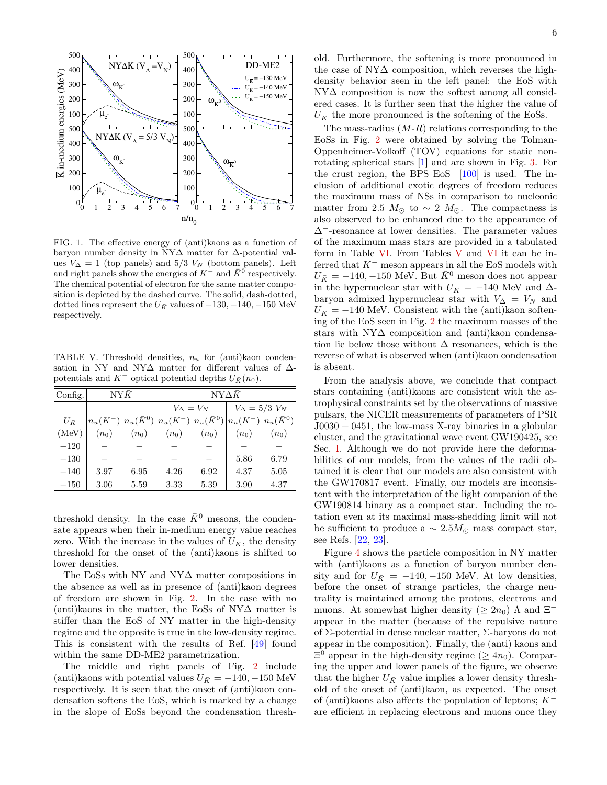

FIG. 1. The effective energy of (anti)kaons as a function of baryon number density in NY∆ matter for ∆-potential values  $V_{\Delta} = 1$  (top panels) and 5/3  $V_N$  (bottom panels). Left and right panels show the energies of  $K^-$  and  $\bar{K}^0$  respectively. The chemical potential of electron for the same matter composition is depicted by the dashed curve. The solid, dash-dotted, dotted lines represent the  $U_{\bar{K}}$  values of  $-130, -140, -150$  MeV respectively.

TABLE V. Threshold densities,  $n_u$  for (anti)kaon condensation in NY and NY $\Delta$  matter for different values of  $\Delta$ potentials and  $K^-$  optical potential depths  $U_{\bar{K}}(n_0)$ .

| Config.      | $N Y \bar K$                                                                                       |         | $N Y \wedge \bar{K}$ |         |         |                          |  |
|--------------|----------------------------------------------------------------------------------------------------|---------|----------------------|---------|---------|--------------------------|--|
|              |                                                                                                    |         | $V_{\Delta} = V_N$   |         |         | $V_{\Delta} = 5/3$ $V_N$ |  |
| $U_{\bar K}$ | $\left n_u(K^-) n_u(\bar{K}^0)\right n_u(K^-) n_u(\bar{K}^0) \left n_u(K^-) n_u(\bar{K}^0)\right $ |         |                      |         |         |                          |  |
| (MeV)        | $(n_0)$                                                                                            | $(n_0)$ | $(n_0)$              | $(n_0)$ | $(n_0)$ | $(n_0)$                  |  |
| $-120$       |                                                                                                    |         |                      |         |         |                          |  |
| $-130$       |                                                                                                    |         |                      |         | 5.86    | 6.79                     |  |
| $-140$       | 3.97                                                                                               | 6.95    | 4.26                 | 6.92    | 4.37    | 5.05                     |  |
| $-150$       | 3.06                                                                                               | 5.59    | 3.33                 | 5.39    | 3.90    | 4.37                     |  |

threshold density. In the case  $\bar{K}^0$  mesons, the condensate appears when their in-medium energy value reaches zero. With the increase in the values of  $U_{\bar{K}}$ , the density threshold for the onset of the (anti)kaons is shifted to lower densities.

The EoSs with NY and NY∆ matter compositions in the absence as well as in presence of (anti)kaon degrees of freedom are shown in Fig. 2. In the case with no (anti)kaons in the matter, the EoSs of NY∆ matter is stiffer than the EoS of NY matter in the high-density regime and the opposite is true in the low-density regime. This is consistent with the results of Ref. [49] found within the same DD-ME2 parametrization.

The middle and right panels of Fig. 2 include (anti)kaons with potential values  $U_{\bar{K}} = -140, -150$  MeV respectively. It is seen that the onset of (anti)kaon condensation softens the EoS, which is marked by a change in the slope of EoSs beyond the condensation threshold. Furthermore, the softening is more pronounced in the case of NY∆ composition, which reverses the highdensity behavior seen in the left panel: the EoS with NY∆ composition is now the softest among all considered cases. It is further seen that the higher the value of  $U_{\bar{K}}$  the more pronounced is the softening of the EoSs.

The mass-radius  $(M-R)$  relations corresponding to the EoSs in Fig. 2 were obtained by solving the Tolman-Oppenheimer-Volkoff (TOV) equations for static nonrotating spherical stars [1] and are shown in Fig. 3. For the crust region, the BPS EoS [100] is used. The inclusion of additional exotic degrees of freedom reduces the maximum mass of NSs in comparison to nucleonic matter from 2.5  $M_{\odot}$  to ~ 2  $M_{\odot}$ . The compactness is also observed to be enhanced due to the appearance of ∆<sup>−</sup>-resonance at lower densities. The parameter values of the maximum mass stars are provided in a tabulated form in Table VI. From Tables V and VI it can be inferred that  $K^-$  meson appears in all the EoS models with  $U_{\bar{K}} = -140, -150$  MeV. But  $\bar{K}^0$  meson does not appear in the hypernuclear star with  $U_{\bar{K}}$  = −140 MeV and  $\Delta$ baryon admixed hypernuclear star with  $V_{\Delta} = V_N$  and  $U_{\bar{K}} = -140$  MeV. Consistent with the (anti)kaon softening of the EoS seen in Fig. 2 the maximum masses of the stars with NY∆ composition and (anti)kaon condensation lie below those without  $\Delta$  resonances, which is the reverse of what is observed when (anti)kaon condensation is absent.

From the analysis above, we conclude that compact stars containing (anti)kaons are consistent with the astrophysical constraints set by the observations of massive pulsars, the NICER measurements of parameters of PSR  $J0030 + 0451$ , the low-mass X-ray binaries in a globular cluster, and the gravitational wave event GW190425, see Sec. I. Although we do not provide here the deformabilities of our models, from the values of the radii obtained it is clear that our models are also consistent with the GW170817 event. Finally, our models are inconsistent with the interpretation of the light companion of the GW190814 binary as a compact star. Including the rotation even at its maximal mass-shedding limit will not be sufficient to produce a  $\sim 2.5 M_{\odot}$  mass compact star, see Refs. [22, 23].

Figure 4 shows the particle composition in NY matter with (anti)kaons as a function of baryon number density and for  $U_{\bar{K}} = -140, -150$  MeV. At low densities, before the onset of strange particles, the charge neutrality is maintained among the protons, electrons and muons. At somewhat higher density ( $\geq 2n_0$ )  $\Lambda$  and  $\Xi^$ appear in the matter (because of the repulsive nature of Σ-potential in dense nuclear matter, Σ-baryons do not appear in the composition). Finally, the (anti) kaons and  $\Xi^0$  appear in the high-density regime ( $\geq 4n_0$ ). Comparing the upper and lower panels of the figure, we observe that the higher  $U_{\bar{K}}$  value implies a lower density threshold of the onset of (anti)kaon, as expected. The onset of (anti)kaons also affects the population of leptons; K<sup>−</sup> are efficient in replacing electrons and muons once they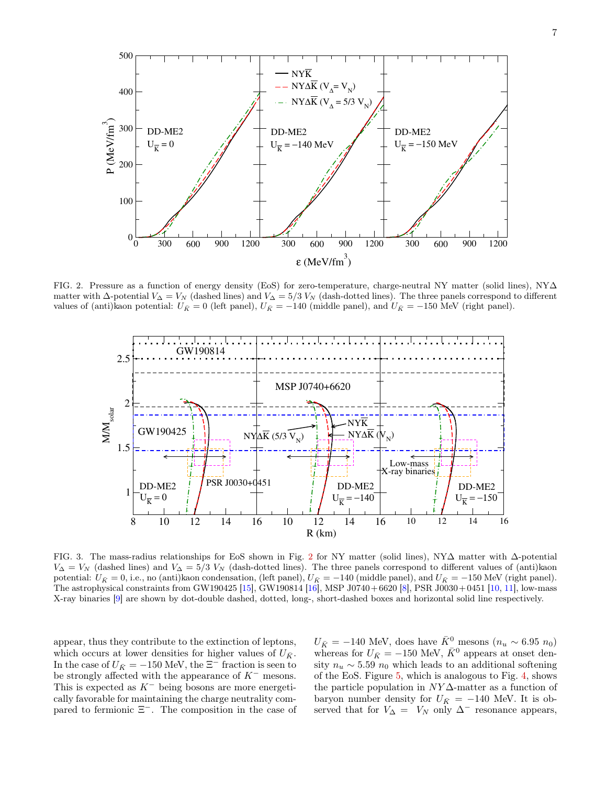

FIG. 2. Pressure as a function of energy density (EoS) for zero-temperature, charge-neutral NY matter (solid lines), NY∆ matter with  $\Delta$ -potential  $V_{\Delta} = V_N$  (dashed lines) and  $V_{\Delta} = 5/3 V_N$  (dash-dotted lines). The three panels correspond to different values of (anti)kaon potential:  $U_{\bar{K}} = 0$  (left panel),  $U_{\bar{K}} = -140$  (middle panel), and  $U_{\bar{K}} = -150$  MeV (right panel).



FIG. 3. The mass-radius relationships for EoS shown in Fig. 2 for NY matter (solid lines), NY∆ matter with ∆-potential  $V_{\Delta} = V_N$  (dashed lines) and  $V_{\Delta} = 5/3$   $V_N$  (dash-dotted lines). The three panels correspond to different values of (anti)kaon potential:  $U_{\bar{K}} = 0$ , i.e., no (anti)kaon condensation, (left panel),  $U_{\bar{K}} = -140$  (middle panel), and  $U_{\bar{K}} = -150$  MeV (right panel). The astrophysical constraints from GW190425 [15], GW190814 [16], MSP J0740+ 6620 [8], PSR J0030+ 0451 [10, 11], low-mass X-ray binaries [9] are shown by dot-double dashed, dotted, long-, short-dashed boxes and horizontal solid line respectively.

appear, thus they contribute to the extinction of leptons, which occurs at lower densities for higher values of  $U_{\bar{K}}$ . In the case of  $U_{\bar{K}} = -150$  MeV, the  $\Xi^-$  fraction is seen to be strongly affected with the appearance of  $K^-$  mesons. This is expected as  $K^-$  being bosons are more energetically favorable for maintaining the charge neutrality compared to fermionic  $\Xi^-$ . The composition in the case of

 $U_{\bar{K}} = -140$  MeV, does have  $\bar{K}^0$  mesons  $(n_u \sim 6.95 n_0)$ whereas for  $U_{\bar{K}} = -150$  MeV,  $\bar{K}^0$  appears at onset density  $n_u \sim 5.59 n_0$  which leads to an additional softening of the EoS. Figure 5, which is analogous to Fig. 4, shows the particle population in  $NY\Delta$ -matter as a function of baryon number density for  $U_{\bar{K}}$  = −140 MeV. It is observed that for  $V_{\Delta} = V_N$  only  $\Delta^-$  resonance appears,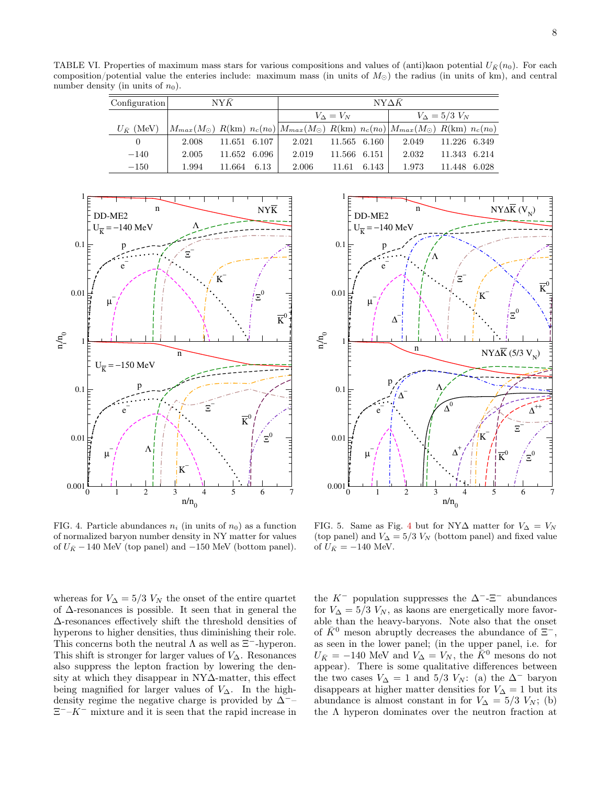TABLE VI. Properties of maximum mass stars for various compositions and values of (anti)kaon potential  $U_{\bar{K}}(n_0)$ . For each composition/potential value the enteries include: maximum mass (in units of  $M_{\odot}$ ) the radius (in units of km), and central number density (in units of  $n_0$ ).

| Configuration       | N Y K |              |              | $NY\Delta K$ |                   |       |                                                                                                                      |                            |              |
|---------------------|-------|--------------|--------------|--------------|-------------------|-------|----------------------------------------------------------------------------------------------------------------------|----------------------------|--------------|
|                     |       |              |              |              | $V_{\Lambda}=V_N$ |       |                                                                                                                      | $V_{\Delta} = 5/3$ $V_{N}$ |              |
| $U_{\bar{K}}$ (MeV) |       |              |              |              |                   |       | $ M_{max}(M_{\odot})  R(km)   n_c(n_0)  M_{max}(M_{\odot})  R(km)   n_c(n_0)  M_{max}(M_{\odot})  R(km)   n_c(n_0) $ |                            |              |
| $\theta$            | 2.008 |              | 11.651 6.107 | 2.021        | 11.565 6.160      |       | 2.049                                                                                                                | 11.226 6.349               |              |
| $-140$              | 2.005 | 11.652 6.096 |              | 2.019        | 11.566 6.151      |       | 2.032                                                                                                                | 11.343 6.214               |              |
| $-150$              | 1.994 | 11.664       | 6.13         | 2.006        | 11.61             | 6.143 | 1.973                                                                                                                |                            | 11.448 6.028 |





whereas for  $V_{\Delta} = 5/3$   $V_N$  the onset of the entire quartet of ∆-resonances is possible. It seen that in general the ∆-resonances effectively shift the threshold densities of hyperons to higher densities, thus diminishing their role. This concerns both the neutral  $\Lambda$  as well as  $\Xi^-$ -hyperon. This shift is stronger for larger values of  $V_{\Delta}$ . Resonances also suppress the lepton fraction by lowering the density at which they disappear in NY∆-matter, this effect being magnified for larger values of  $V_{\Delta}$ . In the highdensity regime the negative charge is provided by  $\Delta$ <sup>-</sup>−  $\Xi^-$ -K<sup>-</sup> mixture and it is seen that the rapid increase in



FIG. 5. Same as Fig. 4 but for NY $\Delta$  matter for  $V_{\Delta} = V_N$ (top panel) and  $V_{\Delta} = 5/3$   $V_N$  (bottom panel) and fixed value of  $U_{\bar{K}} = -140$  MeV.

the  $K^-$  population suppresses the  $\Delta^-$ - $\Xi^-$  abundances for  $V_{\Delta} = 5/3$   $V_N$ , as kaons are energetically more favorable than the heavy-baryons. Note also that the onset of  $\bar{K}^0$  meson abruptly decreases the abundance of  $\Xi^-$ , as seen in the lower panel; (in the upper panel, i.e. for  $U_{\bar{K}} = -140$  MeV and  $V_{\Delta} = V_N$ , the  $\bar{K}^0$  mesons do not appear). There is some qualitative differences between the two cases  $V_{\Delta} = 1$  and 5/3  $V_N$ : (a) the  $\Delta^-$  baryon disappears at higher matter densities for  $V_{\Delta} = 1$  but its abundance is almost constant in for  $V_{\Delta} = 5/3$   $V_N$ ; (b) the  $\Lambda$  hyperon dominates over the neutron fraction at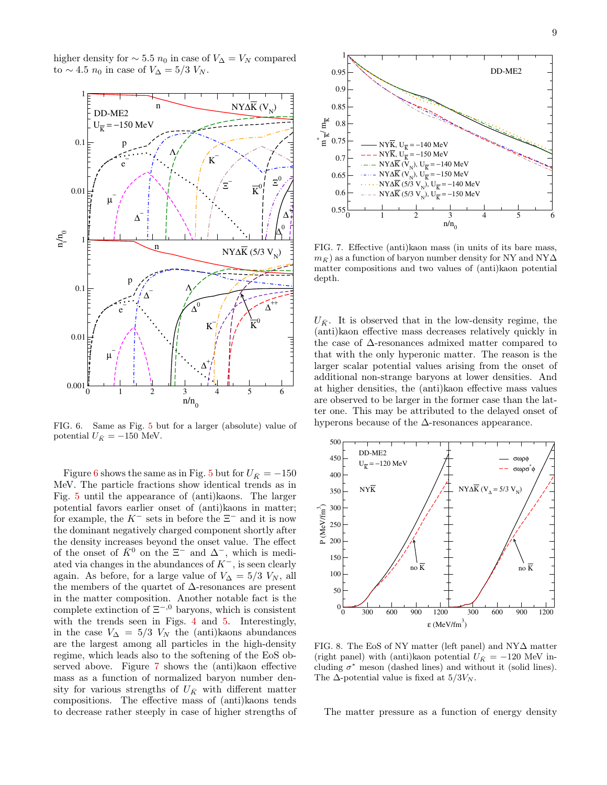higher density for  $\sim 5.5 n_0$  in case of  $V_{\Delta} = V_N$  compared to ~ 4.5  $n_0$  in case of  $V_{\Delta} = 5/3$   $V_N$ .



FIG. 6. Same as Fig. 5 but for a larger (absolute) value of potential  $U_{\bar{K}} = -150$  MeV.

Figure 6 shows the same as in Fig. 5 but for  $U_{\bar{K}} = -150$ MeV. The particle fractions show identical trends as in Fig. 5 until the appearance of (anti)kaons. The larger potential favors earlier onset of (anti)kaons in matter; for example, the  $K^-$  sets in before the  $\Xi^-$  and it is now the dominant negatively charged component shortly after the density increases beyond the onset value. The effect of the onset of  $\bar{K}^0$  on the  $\Xi^-$  and  $\Delta^-$ , which is mediated via changes in the abundances of  $K^-$ , is seen clearly again. As before, for a large value of  $V_{\Delta} = 5/3$   $V_N$ , all the members of the quartet of ∆-resonances are present in the matter composition. Another notable fact is the complete extinction of  $\Xi^{-,0}$  baryons, which is consistent with the trends seen in Figs. 4 and 5. Interestingly, in the case  $V_{\Delta} = 5/3$   $V_N$  the (anti)kaons abundances are the largest among all particles in the high-density regime, which leads also to the softening of the EoS observed above. Figure 7 shows the (anti)kaon effective mass as a function of normalized baryon number density for various strengths of  $U_{\bar{K}}$  with different matter compositions. The effective mass of (anti)kaons tends to decrease rather steeply in case of higher strengths of



FIG. 7. Effective (anti)kaon mass (in units of its bare mass,  $m_{\overline{K}}$  as a function of baryon number density for NY and NY $\Delta$ matter compositions and two values of (anti)kaon potential depth.

 $U_{\bar{K}}$ . It is observed that in the low-density regime, the (anti)kaon effective mass decreases relatively quickly in the case of ∆-resonances admixed matter compared to that with the only hyperonic matter. The reason is the larger scalar potential values arising from the onset of additional non-strange baryons at lower densities. And at higher densities, the (anti)kaon effective mass values are observed to be larger in the former case than the latter one. This may be attributed to the delayed onset of hyperons because of the  $\Delta\text{-resonances appearance.}$ 



FIG. 8. The EoS of NY matter (left panel) and NY∆ matter (right panel) with (anti)kaon potential  $U_{\bar{K}} = -120$  MeV including  $\sigma^*$  meson (dashed lines) and without it (solid lines). The  $\Delta$ -potential value is fixed at  $5/3V_N$ .

The matter pressure as a function of energy density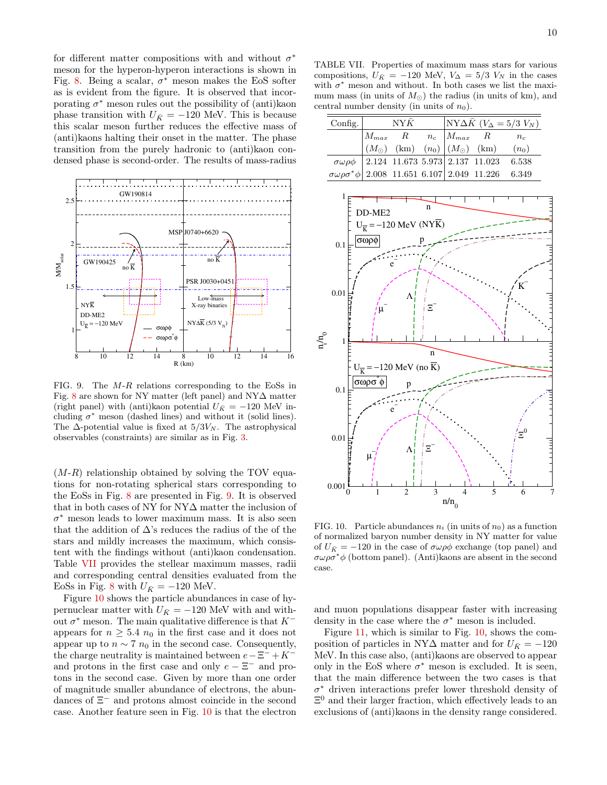for different matter compositions with and without  $\sigma^*$ meson for the hyperon-hyperon interactions is shown in Fig. 8. Being a scalar,  $\sigma^*$  meson makes the EoS softer as is evident from the figure. It is observed that incorporating  $\sigma^*$  meson rules out the possibility of (anti)kaon phase transition with  $U_{\bar{K}} = -120$  MeV. This is because this scalar meson further reduces the effective mass of (anti)kaons halting their onset in the matter. The phase transition from the purely hadronic to (anti)kaon condensed phase is second-order. The results of mass-radius



FIG. 9. The M-R relations corresponding to the EoSs in Fig. 8 are shown for NY matter (left panel) and NY∆ matter (right panel) with (anti)kaon potential  $U_{\bar{K}} = -120$  MeV including  $\sigma^*$  meson (dashed lines) and without it (solid lines). The  $\Delta$ -potential value is fixed at  $5/3V_N$ . The astrophysical observables (constraints) are similar as in Fig. 3.

 $(M-R)$  relationship obtained by solving the TOV equations for non-rotating spherical stars corresponding to the EoSs in Fig. 8 are presented in Fig. 9. It is observed that in both cases of NY for NY∆ matter the inclusion of  $\sigma^*$  meson leads to lower maximum mass. It is also seen that the addition of  $\Delta$ 's reduces the radius of the of the stars and mildly increases the maximum, which consistent with the findings without (anti)kaon condensation. Table VII provides the stellear maximum masses, radii and corresponding central densities evaluated from the EoSs in Fig. 8 with  $U_{\bar{K}} = -120$  MeV.

Figure 10 shows the particle abundances in case of hypernuclear matter with  $U_{\bar{K}} = -120$  MeV with and without  $\sigma^*$  meson. The main qualitative difference is that  $K^$ appears for  $n \geq 5.4$   $n_0$  in the first case and it does not appear up to  $n \sim 7 n_0$  in the second case. Consequently, the charge neutrality is maintained between  $e-\Xi^-+K^$ and protons in the first case and only  $e - \Xi^-$  and protons in the second case. Given by more than one order of magnitude smaller abundance of electrons, the abundances of  $\Xi^-$  and protons almost coincide in the second case. Another feature seen in Fig. 10 is that the electron

| Config. $\vert$                                                      | $N Y \bar{K}$ |  |  | $NY\Delta \bar{K}$ ( $V_{\Delta} = 5/3$ $V_N$ )                                                                                 |                                                              |  |
|----------------------------------------------------------------------|---------------|--|--|---------------------------------------------------------------------------------------------------------------------------------|--------------------------------------------------------------|--|
|                                                                      |               |  |  | $\begin{vmatrix} M_{max} & R & n_c & M_{max} & R & n_c \ (M_{\odot}) & (km) & (n_0) & (M_{\odot}) & (km) & (n_0) \end{vmatrix}$ |                                                              |  |
|                                                                      |               |  |  |                                                                                                                                 |                                                              |  |
|                                                                      |               |  |  |                                                                                                                                 | $\sigma\omega\rho\phi$ 2.124 11.673 5.973 2.137 11.023 6.538 |  |
| $\sigma\omega\rho\sigma^*\phi$ 2.008 11.651 6.107 2.049 11.226 6.349 |               |  |  |                                                                                                                                 |                                                              |  |

central number density (in units of  $n_0$ ).



FIG. 10. Particle abundances  $n_i$  (in units of  $n_0$ ) as a function of normalized baryon number density in NY matter for value of  $U_{\bar{K}} = -120$  in the case of  $\sigma \omega \rho \phi$  exchange (top panel) and  $\sigma\omega\rho\sigma^*\phi$  (bottom panel). (Anti)kaons are absent in the second case.

and muon populations disappear faster with increasing density in the case where the  $\sigma^*$  meson is included.

Figure 11, which is similar to Fig. 10, shows the composition of particles in NY $\Delta$  matter and for  $U_{\bar{K}} = -120$ MeV. In this case also, (anti)kaons are observed to appear only in the EoS where  $\sigma^*$  meson is excluded. It is seen, that the main difference between the two cases is that σ <sup>∗</sup> driven interactions prefer lower threshold density of  $\Xi^0$  and their larger fraction, which effectively leads to an exclusions of (anti)kaons in the density range considered.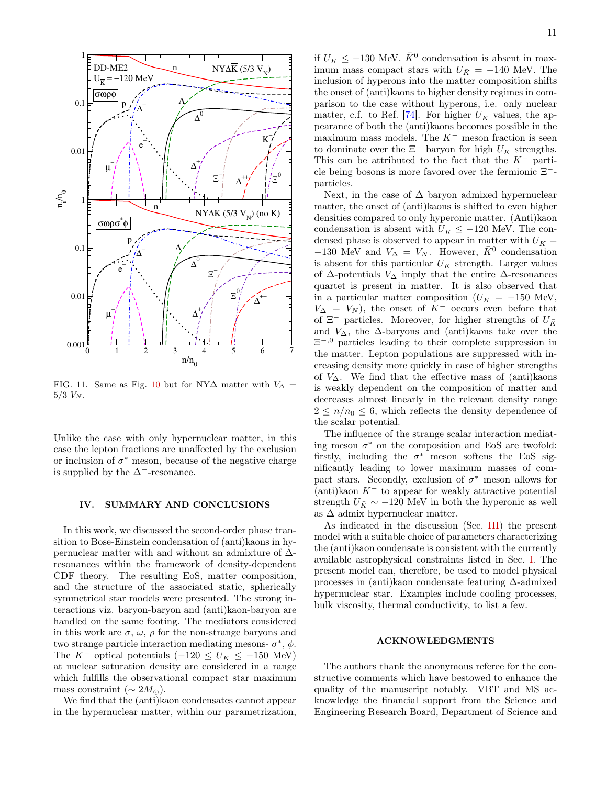

FIG. 11. Same as Fig. 10 but for NY $\Delta$  matter with  $V_{\Delta}$  =  $5/3$   $V_N$ .

Unlike the case with only hypernuclear matter, in this case the lepton fractions are unaffected by the exclusion or inclusion of  $\sigma^*$  meson, because of the negative charge is supplied by the  $\Delta^-$ -resonance.

# IV. SUMMARY AND CONCLUSIONS

In this work, we discussed the second-order phase transition to Bose-Einstein condensation of (anti)kaons in hypernuclear matter with and without an admixture of ∆ resonances within the framework of density-dependent CDF theory. The resulting EoS, matter composition, and the structure of the associated static, spherically symmetrical star models were presented. The strong interactions viz. baryon-baryon and (anti)kaon-baryon are handled on the same footing. The mediators considered in this work are  $\sigma$ ,  $\omega$ ,  $\rho$  for the non-strange baryons and two strange particle interaction mediating mesons-  $\sigma^*$ ,  $\phi$ . The K<sup>-</sup> optical potentials  $(-120 \le U_{\bar{K}} \le -150 \text{ MeV})$ at nuclear saturation density are considered in a range which fulfills the observational compact star maximum mass constraint ( $\sim 2M_{\odot}$ ).

We find that the (anti)kaon condensates cannot appear in the hypernuclear matter, within our parametrization,

if  $U_{\bar{K}} \leq -130$  MeV.  $\bar{K}^0$  condensation is absent in maximum mass compact stars with  $U_{\bar{K}} = -140$  MeV. The inclusion of hyperons into the matter composition shifts the onset of (anti)kaons to higher density regimes in comparison to the case without hyperons, i.e. only nuclear matter, c.f. to Ref. [74]. For higher  $U_{\bar{K}}$  values, the appearance of both the (anti)kaons becomes possible in the maximum mass models. The  $K^-$  meson fraction is seen to dominate over the  $\Xi^-$  baryon for high  $U_{\bar K}$  strengths. This can be attributed to the fact that the  $K^-$  particle being bosons is more favored over the fermionic Ξ − particles.

Next, in the case of  $\Delta$  baryon admixed hypernuclear matter, the onset of (anti)kaons is shifted to even higher densities compared to only hyperonic matter. (Anti)kaon condensation is absent with  $U_{\bar{K}} \leq -120$  MeV. The condensed phase is observed to appear in matter with  $U_{\bar{K}} =$  $-130$  MeV and  $V_{\Delta} = V_N$ . However,  $\bar{K}^0$  condensation is absent for this particular  $U_{\bar{K}}$  strength. Larger values of  $\Delta$ -potentials  $V_{\Delta}$  imply that the entire  $\Delta$ -resonances quartet is present in matter. It is also observed that in a particular matter composition ( $U_{\bar{K}}$  = −150 MeV,  $V_{\Delta} = V_N$ , the onset of K<sup>-</sup> occurs even before that of  $\Xi^-$  particles. Moreover, for higher strengths of  $U_{\bar K}$ and  $V_{\Delta}$ , the  $\Delta$ -baryons and (anti)kaons take over the  $\Xi^{-,0}$  particles leading to their complete suppression in the matter. Lepton populations are suppressed with increasing density more quickly in case of higher strengths of  $V_\Delta$ . We find that the effective mass of (anti)kaons is weakly dependent on the composition of matter and decreases almost linearly in the relevant density range  $2 \leq n/n_0 \leq 6$ , which reflects the density dependence of the scalar potential.

The influence of the strange scalar interaction mediating meson  $\sigma^*$  on the composition and EoS are twofold: firstly, including the  $\sigma^*$  meson softens the EoS significantly leading to lower maximum masses of compact stars. Secondly, exclusion of  $\sigma^*$  meson allows for  $(\text{anti})\text{ka}$  K<sup>-</sup> to appear for weakly attractive potential strength  $U_{\bar{K}} \sim -120$  MeV in both the hyperonic as well as  $\Delta$  admix hypernuclear matter.

As indicated in the discussion (Sec. III) the present model with a suitable choice of parameters characterizing the (anti)kaon condensate is consistent with the currently available astrophysical constraints listed in Sec. I. The present model can, therefore, be used to model physical processes in (anti)kaon condensate featuring ∆-admixed hypernuclear star. Examples include cooling processes, bulk viscosity, thermal conductivity, to list a few.

# ACKNOWLEDGMENTS

The authors thank the anonymous referee for the constructive comments which have bestowed to enhance the quality of the manuscript notably. VBT and MS acknowledge the financial support from the Science and Engineering Research Board, Department of Science and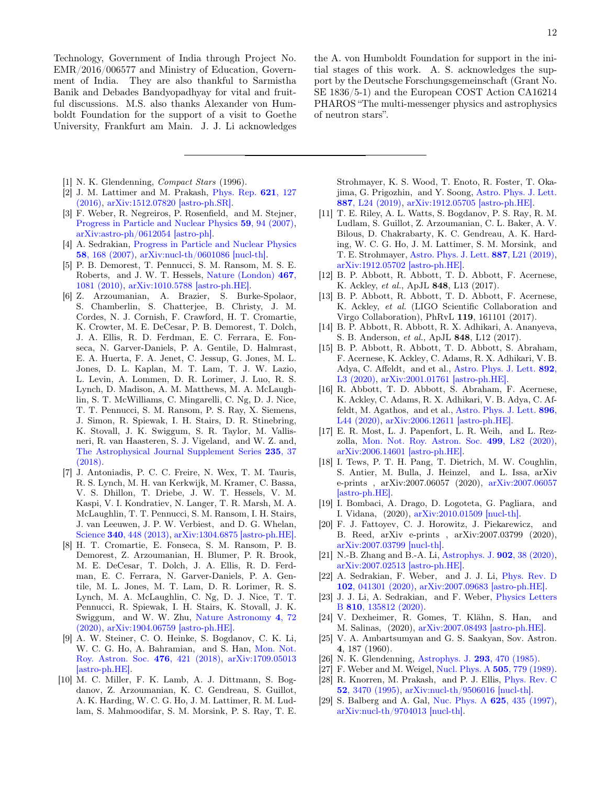Technology, Government of India through Project No. EMR/2016/006577 and Ministry of Education, Government of India. They are also thankful to Sarmistha Banik and Debades Bandyopadhyay for vital and fruitful discussions. M.S. also thanks Alexander von Humboldt Foundation for the support of a visit to Goethe University, Frankfurt am Main. J. J. Li acknowledges

- [1] N. K. Glendenning, Compact Stars (1996).
- [2] J. M. Lattimer and M. Prakash, Phys. Rep. 621, 127 (2016), arXiv:1512.07820 [astro-ph.SR].
- [3] F. Weber, R. Negreiros, P. Rosenfield, and M. Stejner, Progress in Particle and Nuclear Physics 59, 94 (2007), arXiv:astro-ph/0612054 [astro-ph].
- [4] A. Sedrakian, Progress in Particle and Nuclear Physics 58, 168 (2007), arXiv:nucl-th/0601086 [nucl-th].
- [5] P. B. Demorest, T. Pennucci, S. M. Ransom, M. S. E. Roberts, and J. W. T. Hessels, Nature (London) 467, 1081 (2010), arXiv:1010.5788 [astro-ph.HE].
- [6] Z. Arzoumanian, A. Brazier, S. Burke-Spolaor, S. Chamberlin, S. Chatterjee, B. Christy, J. M. Cordes, N. J. Cornish, F. Crawford, H. T. Cromartie, K. Crowter, M. E. DeCesar, P. B. Demorest, T. Dolch, J. A. Ellis, R. D. Ferdman, E. C. Ferrara, E. Fonseca, N. Garver-Daniels, P. A. Gentile, D. Halmrast, E. A. Huerta, F. A. Jenet, C. Jessup, G. Jones, M. L. Jones, D. L. Kaplan, M. T. Lam, T. J. W. Lazio, L. Levin, A. Lommen, D. R. Lorimer, J. Luo, R. S. Lynch, D. Madison, A. M. Matthews, M. A. McLaughlin, S. T. McWilliams, C. Mingarelli, C. Ng, D. J. Nice, T. T. Pennucci, S. M. Ransom, P. S. Ray, X. Siemens, J. Simon, R. Spiewak, I. H. Stairs, D. R. Stinebring, K. Stovall, J. K. Swiggum, S. R. Taylor, M. Vallisneri, R. van Haasteren, S. J. Vigeland, and W. Z. and, The Astrophysical Journal Supplement Series 235, 37 (2018).
- [7] J. Antoniadis, P. C. C. Freire, N. Wex, T. M. Tauris, R. S. Lynch, M. H. van Kerkwijk, M. Kramer, C. Bassa, V. S. Dhillon, T. Driebe, J. W. T. Hessels, V. M. Kaspi, V. I. Kondratiev, N. Langer, T. R. Marsh, M. A. McLaughlin, T. T. Pennucci, S. M. Ransom, I. H. Stairs, J. van Leeuwen, J. P. W. Verbiest, and D. G. Whelan, Science 340, 448 (2013), arXiv:1304.6875 [astro-ph.HE].
- [8] H. T. Cromartie, E. Fonseca, S. M. Ransom, P. B. Demorest, Z. Arzoumanian, H. Blumer, P. R. Brook, M. E. DeCesar, T. Dolch, J. A. Ellis, R. D. Ferdman, E. C. Ferrara, N. Garver-Daniels, P. A. Gentile, M. L. Jones, M. T. Lam, D. R. Lorimer, R. S. Lynch, M. A. McLaughlin, C. Ng, D. J. Nice, T. T. Pennucci, R. Spiewak, I. H. Stairs, K. Stovall, J. K. Swiggum, and W. W. Zhu, Nature Astronomy 4, 72 (2020), arXiv:1904.06759 [astro-ph.HE].
- [9] A. W. Steiner, C. O. Heinke, S. Bogdanov, C. K. Li, W. C. G. Ho, A. Bahramian, and S. Han, Mon. Not. Roy. Astron. Soc. 476, 421 (2018), arXiv:1709.05013 [astro-ph.HE].
- [10] M. C. Miller, F. K. Lamb, A. J. Dittmann, S. Bogdanov, Z. Arzoumanian, K. C. Gendreau, S. Guillot, A. K. Harding, W. C. G. Ho, J. M. Lattimer, R. M. Ludlam, S. Mahmoodifar, S. M. Morsink, P. S. Ray, T. E.

the A. von Humboldt Foundation for support in the initial stages of this work. A. S. acknowledges the support by the Deutsche Forschungsgemeinschaft (Grant No. SE 1836/5-1) and the European COST Action CA16214 PHAROS "The multi-messenger physics and astrophysics of neutron stars".

Strohmayer, K. S. Wood, T. Enoto, R. Foster, T. Okajima, G. Prigozhin, and Y. Soong, Astro. Phys. J. Lett. 887, L24 (2019), arXiv:1912.05705 [astro-ph.HE].

- [11] T. E. Riley, A. L. Watts, S. Bogdanov, P. S. Ray, R. M. Ludlam, S. Guillot, Z. Arzoumanian, C. L. Baker, A. V. Bilous, D. Chakrabarty, K. C. Gendreau, A. K. Harding, W. C. G. Ho, J. M. Lattimer, S. M. Morsink, and T. E. Strohmayer, Astro. Phys. J. Lett. 887, L21 (2019), arXiv:1912.05702 [astro-ph.HE].
- [12] B. P. Abbott, R. Abbott, T. D. Abbott, F. Acernese, K. Ackley, et al., ApJL 848, L13 (2017).
- [13] B. P. Abbott, R. Abbott, T. D. Abbott, F. Acernese, K. Ackley, et al. (LIGO Scientific Collaboration and Virgo Collaboration), PhRvL 119, 161101 (2017).
- [14] B. P. Abbott, R. Abbott, R. X. Adhikari, A. Ananyeva, S. B. Anderson, et al., ApJL 848, L12 (2017).
- [15] B. P. Abbott, R. Abbott, T. D. Abbott, S. Abraham, F. Acernese, K. Ackley, C. Adams, R. X. Adhikari, V. B. Adya, C. Affeldt, and et al., Astro. Phys. J. Lett. 892, L3 (2020), arXiv:2001.01761 [astro-ph.HE].
- [16] R. Abbott, T. D. Abbott, S. Abraham, F. Acernese, K. Ackley, C. Adams, R. X. Adhikari, V. B. Adya, C. Affeldt, M. Agathos, and et al., Astro. Phys. J. Lett. 896, L44 (2020), arXiv:2006.12611 [astro-ph.HE].
- [17] E. R. Most, L. J. Papenfort, L. R. Weih, and L. Rezzolla, Mon. Not. Roy. Astron. Soc. 499, L82 (2020), arXiv:2006.14601 [astro-ph.HE].
- [18] I. Tews, P. T. H. Pang, T. Dietrich, M. W. Coughlin, S. Antier, M. Bulla, J. Heinzel, and L. Issa, arXiv e-prints , arXiv:2007.06057 (2020), arXiv:2007.06057 [astro-ph.HE].
- [19] I. Bombaci, A. Drago, D. Logoteta, G. Pagliara, and I. Vidana, (2020), arXiv:2010.01509 [nucl-th].
- [20] F. J. Fattoyev, C. J. Horowitz, J. Piekarewicz, and B. Reed, arXiv e-prints , arXiv:2007.03799 (2020), arXiv:2007.03799 [nucl-th].
- [21] N.-B. Zhang and B.-A. Li, Astrophys. J. 902, 38 (2020), arXiv:2007.02513 [astro-ph.HE].
- [22] A. Sedrakian, F. Weber, and J. J. Li, Phys. Rev. D 102, 041301 (2020), arXiv:2007.09683 [astro-ph.HE].
- [23] J. J. Li, A. Sedrakian, and F. Weber, Physics Letters B 810, 135812 (2020).
- [24] V. Dexheimer, R. Gomes, T. Klähn, S. Han, and M. Salinas, (2020), arXiv:2007.08493 [astro-ph.HE].
- [25] V. A. Ambartsumyan and G. S. Saakyan, Sov. Astron. 4, 187 (1960).
- [26] N. K. Glendenning, Astrophys. J. 293, 470 (1985).
- [27] F. Weber and M. Weigel, Nucl. Phys. A **505**, 779 (1989). [28] R. Knorren, M. Prakash, and P. J. Ellis, Phys. Rev. C 52, 3470 (1995), arXiv:nucl-th/9506016 [nucl-th].
- [29] S. Balberg and A. Gal, Nuc. Phys. A 625, 435 (1997), arXiv:nucl-th/9704013 [nucl-th].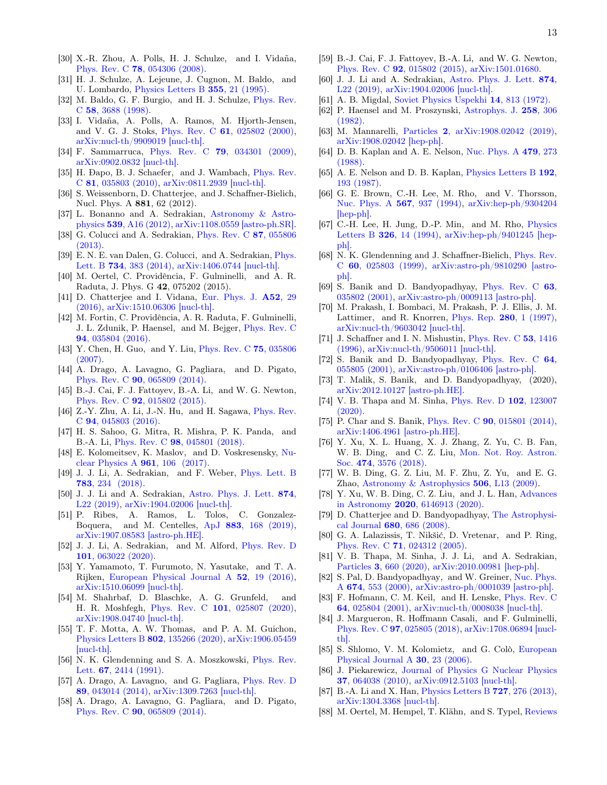- [30] X.-R. Zhou, A. Polls, H. J. Schulze, and I. Vidaña, Phys. Rev. C 78, 054306 (2008).
- [31] H. J. Schulze, A. Lejeune, J. Cugnon, M. Baldo, and U. Lombardo, Physics Letters B 355, 21 (1995).
- [32] M. Baldo, G. F. Burgio, and H. J. Schulze, Phys. Rev. C 58, 3688 (1998).
- [33] I. Vidaña, A. Polls, A. Ramos, M. Hjorth-Jensen, and V. G. J. Stoks, Phys. Rev. C 61, 025802 (2000), arXiv:nucl-th/9909019 [nucl-th].
- [34] F. Sammarruca, Phys. Rev. C 79, 034301 (2009), arXiv:0902.0832 [nucl-th].
- [35] H. Đapo, B. J. Schaefer, and J. Wambach, *Phys. Rev.* C 81, 035803 (2010), arXiv:0811.2939 [nucl-th].
- [36] S. Weissenborn, D. Chatterjee, and J. Schaffner-Bielich, Nucl. Phys. A 881, 62 (2012).
- [37] L. Bonanno and A. Sedrakian, Astronomy & Astrophysics 539, A16 (2012), arXiv:1108.0559 [astro-ph.SR].
- [38] G. Colucci and A. Sedrakian, Phys. Rev. C 87, 055806 (2013).
- [39] E. N. E. van Dalen, G. Colucci, and A. Sedrakian, Phys. Lett. B 734, 383 (2014), arXiv:1406.0744 [nucl-th].
- [40] M. Oertel, C. Providência, F. Gulminelli, and A. R. Raduta, J. Phys. G 42, 075202 (2015).
- [41] D. Chatterjee and I. Vidana, Eur. Phys. J. A52, 29 (2016), arXiv:1510.06306 [nucl-th].
- [42] M. Fortin, C. Providência, A. R. Raduta, F. Gulminelli, J. L. Zdunik, P. Haensel, and M. Bejger, Phys. Rev. C 94, 035804 (2016).
- [43] Y. Chen, H. Guo, and Y. Liu, Phys. Rev. C 75, 035806 (2007).
- [44] A. Drago, A. Lavagno, G. Pagliara, and D. Pigato, Phys. Rev. C 90, 065809 (2014).
- [45] B.-J. Cai, F. J. Fattoyev, B.-A. Li, and W. G. Newton, Phys. Rev. C 92, 015802 (2015).
- [46] Z.-Y. Zhu, A. Li, J.-N. Hu, and H. Sagawa, Phys. Rev. C 94, 045803 (2016).
- [47] H. S. Sahoo, G. Mitra, R. Mishra, P. K. Panda, and B.-A. Li, Phys. Rev. C 98, 045801 (2018).
- [48] E. Kolomeitsev, K. Maslov, and D. Voskresensky, Nuclear Physics A 961, 106 (2017).
- [49] J. J. Li, A. Sedrakian, and F. Weber, Phys. Lett. B 783, 234 (2018).
- [50] J. J. Li and A. Sedrakian, Astro. Phys. J. Lett. 874, L22 (2019), arXiv:1904.02006 [nucl-th].
- [51] P. Ribes, A. Ramos, L. Tolos, C. Gonzalez-Boquera, and M. Centelles, ApJ 883, 168 (2019), arXiv:1907.08583 [astro-ph.HE].
- [52] J. J. Li, A. Sedrakian, and M. Alford, Phys. Rev. D 101, 063022 (2020).
- [53] Y. Yamamoto, T. Furumoto, N. Yasutake, and T. A. Rijken, European Physical Journal A 52, 19 (2016), arXiv:1510.06099 [nucl-th].
- [54] M. Shahrbaf, D. Blaschke, A. G. Grunfeld, and H. R. Moshfegh, Phys. Rev. C 101, 025807 (2020), arXiv:1908.04740 [nucl-th].
- [55] T. F. Motta, A. W. Thomas, and P. A. M. Guichon, Physics Letters B 802, 135266 (2020), arXiv:1906.05459 [nucl-th].
- [56] N. K. Glendenning and S. A. Moszkowski, Phys. Rev. Lett. 67, 2414 (1991).
- [57] A. Drago, A. Lavagno, and G. Pagliara, Phys. Rev. D 89, 043014 (2014), arXiv:1309.7263 [nucl-th].
- [58] A. Drago, A. Lavagno, G. Pagliara, and D. Pigato, Phys. Rev. C 90, 065809 (2014).
- [59] B.-J. Cai, F. J. Fattoyev, B.-A. Li, and W. G. Newton, Phys. Rev. C 92, 015802 (2015), arXiv:1501.01680.
- [60] J. J. Li and A. Sedrakian, Astro. Phys. J. Lett. 874, L22 (2019), arXiv:1904.02006 [nucl-th].
- [61] A. B. Migdal, Soviet Physics Uspekhi 14, 813 (1972).
- [62] P. Haensel and M. Proszynski, Astrophys. J. 258, 306 (1982).
- [63] M. Mannarelli, Particles 2, arXiv:1908.02042 (2019), arXiv:1908.02042 [hep-ph].
- [64] D. B. Kaplan and A. E. Nelson, Nuc. Phys. A 479, 273 (1988).
- [65] A. E. Nelson and D. B. Kaplan, Physics Letters B 192, 193 (1987).
- [66] G. E. Brown, C.-H. Lee, M. Rho, and V. Thorsson, Nuc. Phys. A 567, 937 (1994), arXiv:hep-ph/9304204 [hep-ph].
- [67] C.-H. Lee, H. Jung, D.-P. Min, and M. Rho, Physics Letters B 326, 14 (1994), arXiv:hep-ph/9401245 [hepph].
- [68] N. K. Glendenning and J. Schaffner-Bielich, Phys. Rev. C 60, 025803 (1999), arXiv:astro-ph/9810290 [astroph].
- [69] S. Banik and D. Bandyopadhyay, Phys. Rev. C 63, 035802 (2001), arXiv:astro-ph/0009113 [astro-ph].
- [70] M. Prakash, I. Bombaci, M. Prakash, P. J. Ellis, J. M. Lattimer, and R. Knorren, Phys. Rep. 280, 1 (1997), arXiv:nucl-th/9603042 [nucl-th].
- [71] J. Schaffner and I. N. Mishustin, Phys. Rev. C 53, 1416 (1996), arXiv:nucl-th/9506011 [nucl-th].
- [72] S. Banik and D. Bandyopadhyay, Phys. Rev. C 64, 055805 (2001), arXiv:astro-ph/0106406 [astro-ph].
- [73] T. Malik, S. Banik, and D. Bandyopadhyay, (2020), arXiv:2012.10127 [astro-ph.HE].
- [74] V. B. Thapa and M. Sinha, Phys. Rev. D 102, 123007  $(2020)$ .
- [75] P. Char and S. Banik, Phys. Rev. C **90**, 015801 (2014), arXiv:1406.4961 [astro-ph.HE].
- [76] Y. Xu, X. L. Huang, X. J. Zhang, Z. Yu, C. B. Fan, W. B. Ding, and C. Z. Liu, Mon. Not. Roy. Astron. Soc. 474, 3576 (2018).
- [77] W. B. Ding, G. Z. Liu, M. F. Zhu, Z. Yu, and E. G. Zhao, Astronomy & Astrophysics 506, L13 (2009).
- [78] Y. Xu, W. B. Ding, C. Z. Liu, and J. L. Han, Advances in Astronomy 2020, 6146913 (2020).
- [79] D. Chatterjee and D. Bandyopadhyay, The Astrophysical Journal 680, 686 (2008).
- [80] G. A. Lalazissis, T. Nikšić, D. Vretenar, and P. Ring, Phys. Rev. C 71, 024312 (2005).
- [81] V. B. Thapa, M. Sinha, J. J. Li, and A. Sedrakian, Particles 3, 660 (2020), arXiv:2010.00981 [hep-ph].
- [82] S. Pal, D. Bandyopadhyay, and W. Greiner, Nuc. Phys. A 674, 553 (2000), arXiv:astro-ph/0001039 [astro-ph].
- [83] F. Hofmann, C. M. Keil, and H. Lenske, Phys. Rev. C 64, 025804 (2001), arXiv:nucl-th/0008038 [nucl-th].
- [84] J. Margueron, R. Hoffmann Casali, and F. Gulminelli, Phys. Rev. C 97, 025805 (2018), arXiv:1708.06894 [nuclth].
- [85] S. Shlomo, V. M. Kolomietz, and G. Colò, European Physical Journal A 30, 23 (2006).
- [86] J. Piekarewicz, Journal of Physics G Nuclear Physics 37, 064038 (2010), arXiv:0912.5103 [nucl-th].
- [87] B.-A. Li and X. Han, *Physics Letters B* **727**, 276 (2013), arXiv:1304.3368 [nucl-th].
- [88] M. Oertel, M. Hempel, T. Klähn, and S. Typel, Reviews